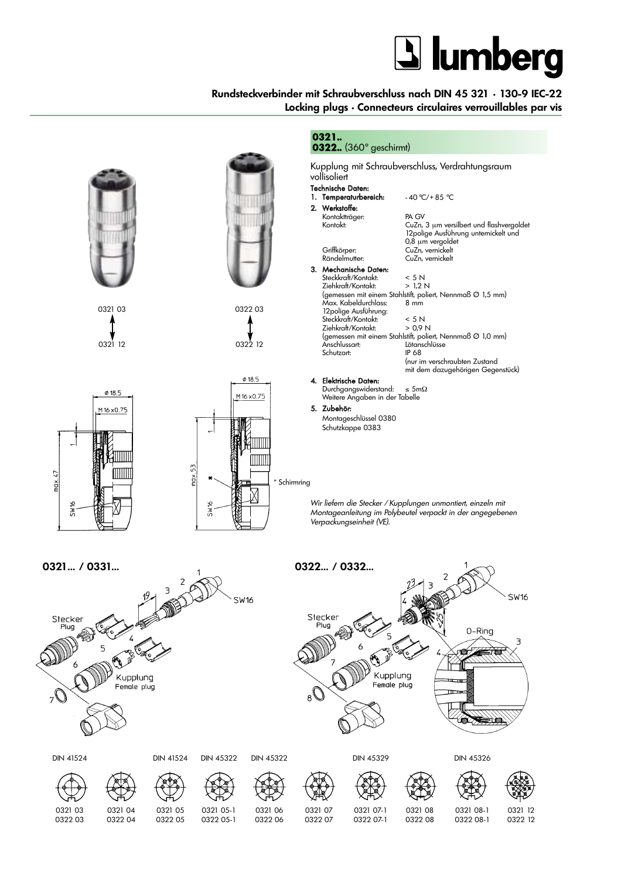## **J** lumberg

### **Rundsteckverbinder mit Schraubverschluss nach DIN 45 321 • 130-9 IEC-22 Locking plugs • Connecteurs circulaires verrouillables par vis**